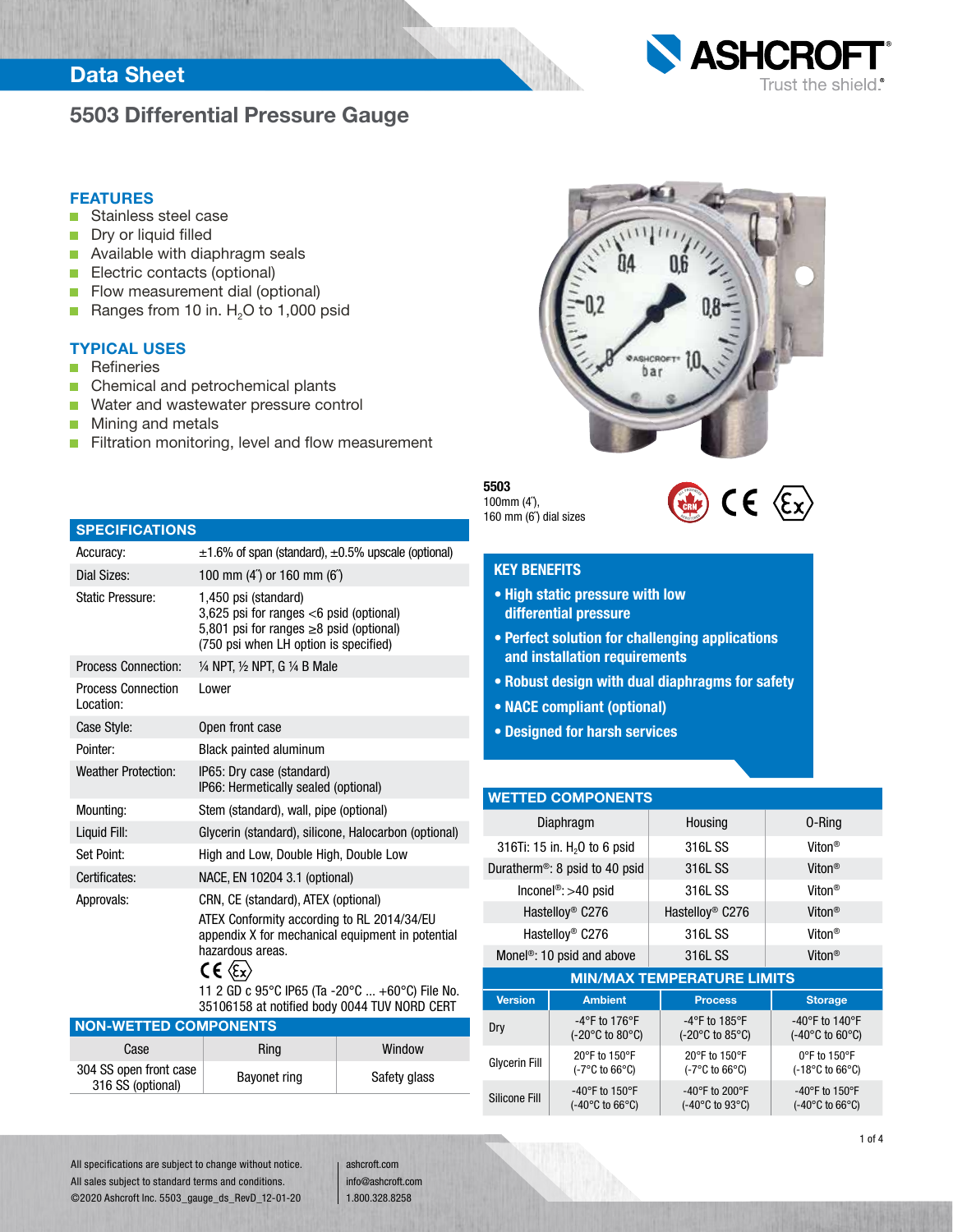## 5503 Differential Pressure Gauge



- Stainless steel case П
- Dry or liquid filled n
- n. Available with diaphragm seals
- n Electric contacts (optional)
- $\Box$ Flow measurement dial (optional)
- Ranges from 10 in. H<sub>2</sub>O to 1,000 psid П

#### TYPICAL USES

- **Refineries** ÷,
- Chemical and petrochemical plants п
- Water and wastewater pressure control  $\Box$

Dial Sizes: 100 mm (4˝) or 160 mm (6˝) Static Pressure: 1,450 psi (standard)

Process Connection: 1/4 NPT, 1/2 NPT, G 1/4 B Male

Pointer: Black painted aluminum Weather Protection: IP65: Dry case (standard)

Case Style: Open front case

Lower

Mounting: Stem (standard), wall, pipe (optional)

Certificates: NACE, EN 10204 3.1 (optional) Approvals: CRN, CE (standard), ATEX (optional)

Set Point: High and Low, Double High, Double Low

hazardous areas.

 $CE \langle Ex \rangle$ 

Mining and metals П

SPECIFICATIONS

Process Connection

Location:

n. Filtration monitoring, level and flow measurement

Accuracy:  $\pm 1.6\%$  of span (standard),  $\pm 0.5\%$  upscale (optional)

3,625 psi for ranges <6 psid (optional) 5,801 psi for ranges ≥8 psid (optional) (750 psi when LH option is specified)

IP66: Hermetically sealed (optional)

ATEX Conformity according to RL 2014/34/EU appendix X for mechanical equipment in potential

11 2 GD c 95°C IP65 (Ta -20°C ... +60°C) File No. 35106158 at notified body 0044 TUV NORD CERT

Liquid Fill: Glycerin (standard), silicone, Halocarbon (optional)

Case Ring Ring Window

433 open noncease<br>316 SS (optional) Bayonet ring Safety glass



#### 5503 100mm (4˝),

160 mm (6˝) dial sizes



**ASHCRO** 

Trust the shield.

### KEY BENEFITS

- High static pressure with low differential pressure
- Perfect solution for challenging applications and installation requirements
- Robust design with dual diaphragms for safety
- NACE compliant (optional)
- Designed for harsh services

#### WETTED COMPONENTS

|                      | Diaphragm                                                        | Housing                                                                    | 0-Ring                                                                     |  |  |  |
|----------------------|------------------------------------------------------------------|----------------------------------------------------------------------------|----------------------------------------------------------------------------|--|--|--|
|                      | 316Ti: 15 in. H <sub>2</sub> 0 to 6 psid                         | 316L SS                                                                    | Viton <sup>®</sup>                                                         |  |  |  |
|                      | Duratherm <sup>®</sup> : 8 psid to 40 psid                       | 316L SS                                                                    | Viton <sup>®</sup>                                                         |  |  |  |
|                      | Inconel <sup>®</sup> : >40 psid                                  | 316L SS                                                                    | Viton <sup>®</sup>                                                         |  |  |  |
|                      | Hastelloy <sup>®</sup> C276                                      | Hastelloy <sup>®</sup> C276                                                | Viton <sup>®</sup>                                                         |  |  |  |
|                      | Hastelloy <sup>®</sup> C276                                      | 316L SS                                                                    | Viton <sup>®</sup>                                                         |  |  |  |
|                      | Monel <sup>®</sup> : 10 psid and above                           | 316L SS                                                                    | Viton <sup>®</sup>                                                         |  |  |  |
|                      |                                                                  | <b>MIN/MAX TEMPERATURE LIMITS</b>                                          |                                                                            |  |  |  |
| <b>Version</b>       | <b>Ambient</b>                                                   | <b>Process</b>                                                             | <b>Storage</b>                                                             |  |  |  |
| Dry                  | $-4$ °F to 176°F<br>$(-20^{\circ}$ C to 80 $^{\circ}$ C)         | $-4$ °F to 185°F<br>$(-20^{\circ}$ C to 85 $^{\circ}$ C)                   | -40°F to 140°F<br>$(-40^{\circ}$ C to 60 $^{\circ}$ C)                     |  |  |  |
| <b>Glycerin Fill</b> | 20°F to 150°F<br>$(-7^{\circ}C \text{ to } 66^{\circ}C)$         | 20°F to 150°F<br>$(-7^{\circ}C \text{ to } 66^{\circ}C)$                   | $0^{\circ}$ F to 150 $^{\circ}$ F<br>$(-18^{\circ}$ C to 66 $^{\circ}$ C)  |  |  |  |
| Silicone Fill        | $-40^{\circ}$ F to 150°F<br>$(-40^{\circ}$ C to 66 $^{\circ}$ C) | -40 $\degree$ F to 200 $\degree$ F<br>$(-40^{\circ}$ C to 93 $^{\circ}$ C) | -40 $\degree$ F to 150 $\degree$ F<br>$(-40^{\circ}$ C to 66 $^{\circ}$ C) |  |  |  |

All specifications are subject to change without notice. All sales subject to standard terms and conditions. ©2020 Ashcroft Inc. 5503\_gauge\_ds\_RevD\_12-01-20

NON-WETTED COMPONENTS

304 SS open front case

ashcroft.com info@ashcroft.com 1.800.328.8258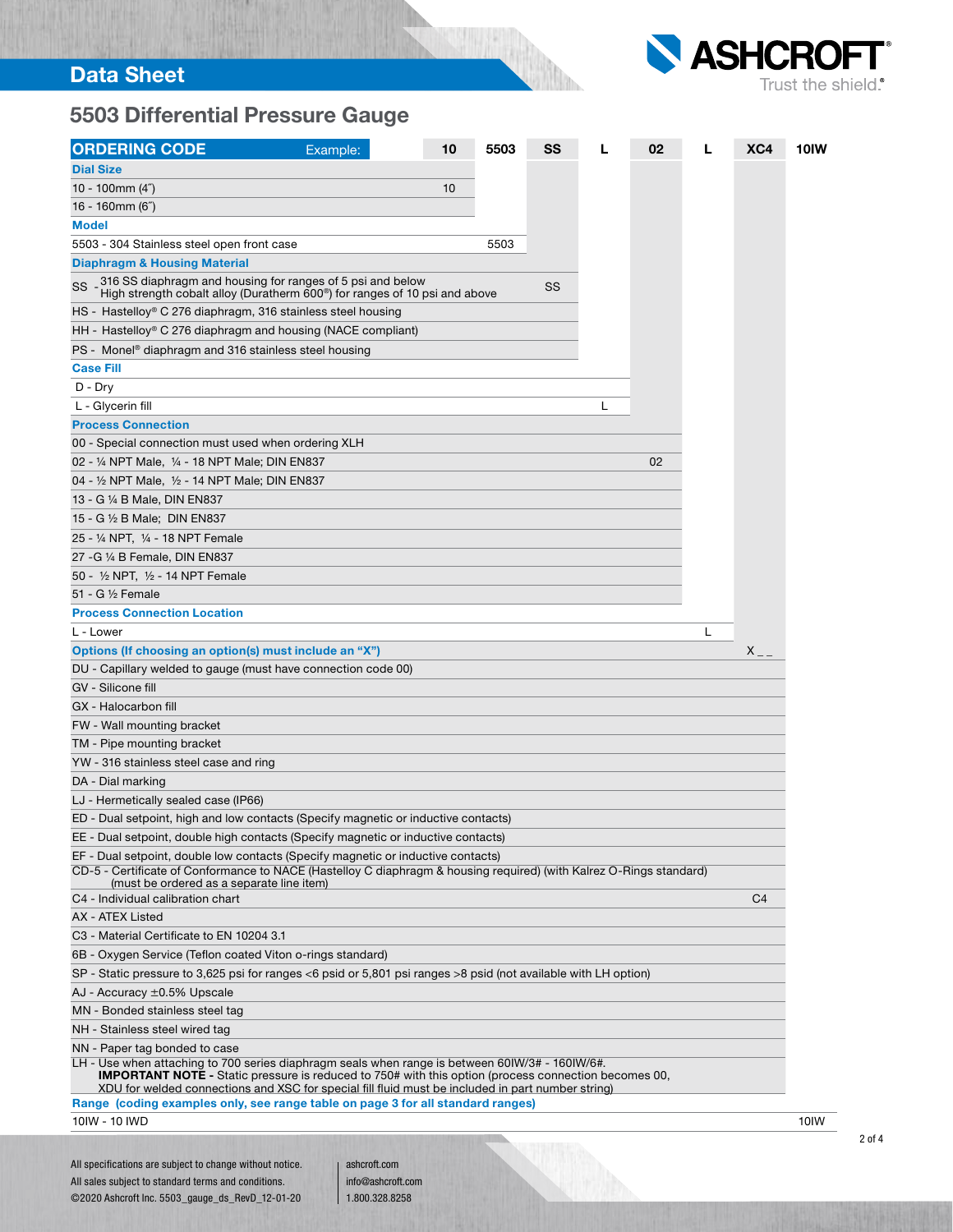

# 5503 Differential Pressure Gauge

| <b>ORDERING CODE</b>                                                                                                                                                                                                                                                                                                | Example: | 10 | 5503 | SS | L | 02 | L | XC4            | 10IW |
|---------------------------------------------------------------------------------------------------------------------------------------------------------------------------------------------------------------------------------------------------------------------------------------------------------------------|----------|----|------|----|---|----|---|----------------|------|
| <b>Dial Size</b>                                                                                                                                                                                                                                                                                                    |          |    |      |    |   |    |   |                |      |
| 10 - 100mm $(4n)$                                                                                                                                                                                                                                                                                                   |          | 10 |      |    |   |    |   |                |      |
| 16 - 160mm $(6n)$                                                                                                                                                                                                                                                                                                   |          |    |      |    |   |    |   |                |      |
| <b>Model</b>                                                                                                                                                                                                                                                                                                        |          |    |      |    |   |    |   |                |      |
| 5503 - 304 Stainless steel open front case                                                                                                                                                                                                                                                                          |          |    | 5503 |    |   |    |   |                |      |
| <b>Diaphragm &amp; Housing Material</b>                                                                                                                                                                                                                                                                             |          |    |      |    |   |    |   |                |      |
| 316 SS diaphragm and housing for ranges of 5 psi and below<br>SS<br>High strength cobalt alloy (Duratherm 600 <sup>®</sup> ) for ranges of 10 psi and above                                                                                                                                                         |          |    |      | SS |   |    |   |                |      |
| HS - Hastelloy® C 276 diaphragm, 316 stainless steel housing                                                                                                                                                                                                                                                        |          |    |      |    |   |    |   |                |      |
| HH - Hastelloy® C 276 diaphragm and housing (NACE compliant)                                                                                                                                                                                                                                                        |          |    |      |    |   |    |   |                |      |
| PS - Monel <sup>®</sup> diaphragm and 316 stainless steel housing                                                                                                                                                                                                                                                   |          |    |      |    |   |    |   |                |      |
| <b>Case Fill</b>                                                                                                                                                                                                                                                                                                    |          |    |      |    |   |    |   |                |      |
| $D - Dry$                                                                                                                                                                                                                                                                                                           |          |    |      |    |   |    |   |                |      |
| L - Glycerin fill                                                                                                                                                                                                                                                                                                   |          |    |      |    | L |    |   |                |      |
| <b>Process Connection</b>                                                                                                                                                                                                                                                                                           |          |    |      |    |   |    |   |                |      |
| 00 - Special connection must used when ordering XLH                                                                                                                                                                                                                                                                 |          |    |      |    |   |    |   |                |      |
| 02 - 1/4 NPT Male, 1/4 - 18 NPT Male; DIN EN837                                                                                                                                                                                                                                                                     |          |    |      |    |   | 02 |   |                |      |
| 04 - 1/2 NPT Male, 1/2 - 14 NPT Male; DIN EN837                                                                                                                                                                                                                                                                     |          |    |      |    |   |    |   |                |      |
| 13 - G ¼ B Male, DIN EN837                                                                                                                                                                                                                                                                                          |          |    |      |    |   |    |   |                |      |
| 15 - G ½ B Male; DIN EN837                                                                                                                                                                                                                                                                                          |          |    |      |    |   |    |   |                |      |
| 25 - 1/4 NPT, 1/4 - 18 NPT Female                                                                                                                                                                                                                                                                                   |          |    |      |    |   |    |   |                |      |
| 27 - G 1/4 B Female, DIN EN837                                                                                                                                                                                                                                                                                      |          |    |      |    |   |    |   |                |      |
| 50 - 1/2 NPT, 1/2 - 14 NPT Female                                                                                                                                                                                                                                                                                   |          |    |      |    |   |    |   |                |      |
| 51 - G 1/2 Female                                                                                                                                                                                                                                                                                                   |          |    |      |    |   |    |   |                |      |
| <b>Process Connection Location</b>                                                                                                                                                                                                                                                                                  |          |    |      |    |   |    |   |                |      |
| L - Lower                                                                                                                                                                                                                                                                                                           |          |    |      |    |   |    | L |                |      |
| Options (If choosing an option(s) must include an "X")                                                                                                                                                                                                                                                              |          |    |      |    |   |    |   | $X_{--}$       |      |
| DU - Capillary welded to gauge (must have connection code 00)                                                                                                                                                                                                                                                       |          |    |      |    |   |    |   |                |      |
| GV - Silicone fill                                                                                                                                                                                                                                                                                                  |          |    |      |    |   |    |   |                |      |
| GX - Halocarbon fill                                                                                                                                                                                                                                                                                                |          |    |      |    |   |    |   |                |      |
| FW - Wall mounting bracket                                                                                                                                                                                                                                                                                          |          |    |      |    |   |    |   |                |      |
| TM - Pipe mounting bracket                                                                                                                                                                                                                                                                                          |          |    |      |    |   |    |   |                |      |
| YW - 316 stainless steel case and ring                                                                                                                                                                                                                                                                              |          |    |      |    |   |    |   |                |      |
| DA - Dial marking                                                                                                                                                                                                                                                                                                   |          |    |      |    |   |    |   |                |      |
| LJ - Hermetically sealed case (IP66)                                                                                                                                                                                                                                                                                |          |    |      |    |   |    |   |                |      |
| ED - Dual setpoint, high and low contacts (Specify magnetic or inductive contacts)                                                                                                                                                                                                                                  |          |    |      |    |   |    |   |                |      |
| EE - Dual setpoint, double high contacts (Specify magnetic or inductive contacts)                                                                                                                                                                                                                                   |          |    |      |    |   |    |   |                |      |
| EF - Dual setpoint, double low contacts (Specify magnetic or inductive contacts)                                                                                                                                                                                                                                    |          |    |      |    |   |    |   |                |      |
| CD-5 - Certificate of Conformance to NACE (Hastelloy C diaphragm & housing required) (with Kalrez O-Rings standard)<br>(must be ordered as a separate line item)                                                                                                                                                    |          |    |      |    |   |    |   |                |      |
| C4 - Individual calibration chart                                                                                                                                                                                                                                                                                   |          |    |      |    |   |    |   | C <sub>4</sub> |      |
| AX - ATEX Listed                                                                                                                                                                                                                                                                                                    |          |    |      |    |   |    |   |                |      |
| C3 - Material Certificate to EN 10204 3.1                                                                                                                                                                                                                                                                           |          |    |      |    |   |    |   |                |      |
| 6B - Oxygen Service (Teflon coated Viton o-rings standard)                                                                                                                                                                                                                                                          |          |    |      |    |   |    |   |                |      |
| SP - Static pressure to 3,625 psi for ranges <6 psid or 5,801 psi ranges >8 psid (not available with LH option)                                                                                                                                                                                                     |          |    |      |    |   |    |   |                |      |
| AJ - Accuracy ±0.5% Upscale                                                                                                                                                                                                                                                                                         |          |    |      |    |   |    |   |                |      |
| MN - Bonded stainless steel tag                                                                                                                                                                                                                                                                                     |          |    |      |    |   |    |   |                |      |
| NH - Stainless steel wired tag                                                                                                                                                                                                                                                                                      |          |    |      |    |   |    |   |                |      |
| NN - Paper tag bonded to case                                                                                                                                                                                                                                                                                       |          |    |      |    |   |    |   |                |      |
| LH - Use when attaching to 700 series diaphragm seals when range is between 60IW/3# - 160IW/6#.<br><b>IMPORTANT NOTE</b> - Static pressure is reduced to 750# with this option (process connection becomes 00,<br>XDU for welded connections and XSC for special fill fluid must be included in part number string) |          |    |      |    |   |    |   |                |      |
| Range (coding examples only, see range table on page 3 for all standard ranges)                                                                                                                                                                                                                                     |          |    |      |    |   |    |   |                |      |
| 10 IW - 10 IWD                                                                                                                                                                                                                                                                                                      |          |    |      |    |   |    |   |                | 10IW |
|                                                                                                                                                                                                                                                                                                                     |          |    |      |    |   |    |   |                |      |

و <sub>ال</sub>يا

All specifications are subject to change without notice. All sales subject to standard terms and conditions. ©2020 Ashcroft Inc. 5503\_gauge\_ds\_RevD\_12-01-20

ashcroft.com info@ashcroft.com 1.800.328.8258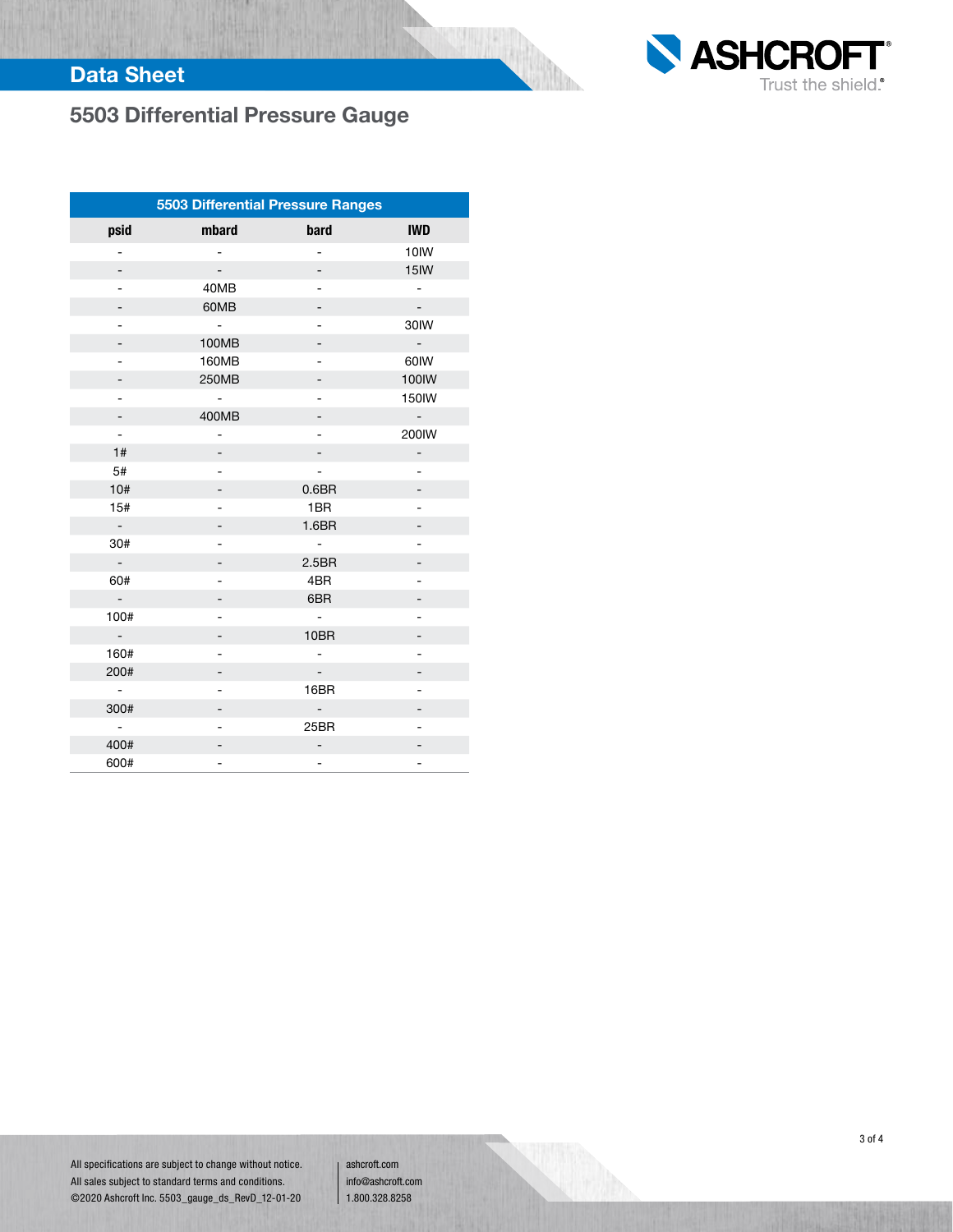

# 5503 Differential Pressure Gauge

| 5503 Differential Pressure Ranges |                          |                          |                             |  |  |  |  |  |  |  |  |
|-----------------------------------|--------------------------|--------------------------|-----------------------------|--|--|--|--|--|--|--|--|
| psid                              | mbard                    | bard                     | <b>IWD</b>                  |  |  |  |  |  |  |  |  |
| 4                                 |                          | 4                        | 10IW                        |  |  |  |  |  |  |  |  |
|                                   |                          |                          | 15IW                        |  |  |  |  |  |  |  |  |
| ÷,                                | 40MB                     | $\overline{a}$           | $\overline{\phantom{0}}$    |  |  |  |  |  |  |  |  |
|                                   | 60MB                     |                          |                             |  |  |  |  |  |  |  |  |
|                                   | $\blacksquare$           |                          | 30IW                        |  |  |  |  |  |  |  |  |
| -                                 | 100MB                    | -                        | $\mathcal{L}_{\mathcal{A}}$ |  |  |  |  |  |  |  |  |
|                                   | 160MB                    |                          | 60IW                        |  |  |  |  |  |  |  |  |
|                                   | 250MB                    |                          | 100IW                       |  |  |  |  |  |  |  |  |
| -                                 | ۰                        | -                        | 150IW                       |  |  |  |  |  |  |  |  |
|                                   | 400MB                    |                          | $\blacksquare$              |  |  |  |  |  |  |  |  |
| $\overline{\phantom{a}}$          | -                        |                          | 200IW                       |  |  |  |  |  |  |  |  |
| 1#                                | -                        |                          | $\overline{\phantom{0}}$    |  |  |  |  |  |  |  |  |
| 5#                                |                          |                          |                             |  |  |  |  |  |  |  |  |
| 10#                               | -                        | 0.6 <sub>BR</sub>        |                             |  |  |  |  |  |  |  |  |
| 15#                               |                          | 1BR                      | $\overline{\phantom{0}}$    |  |  |  |  |  |  |  |  |
| $\mathcal{L}$                     |                          | 1.6 <sub>BR</sub>        |                             |  |  |  |  |  |  |  |  |
| 30#                               |                          | $\blacksquare$           |                             |  |  |  |  |  |  |  |  |
| $\overline{\phantom{a}}$          |                          | 2.5BR                    |                             |  |  |  |  |  |  |  |  |
| 60#                               | $\overline{\phantom{0}}$ | 4BR                      |                             |  |  |  |  |  |  |  |  |
| $\overline{\phantom{a}}$          | -                        | 6BR                      |                             |  |  |  |  |  |  |  |  |
| 100#                              |                          | $\overline{\phantom{0}}$ |                             |  |  |  |  |  |  |  |  |
| $\overline{\phantom{a}}$          |                          | 10BR                     |                             |  |  |  |  |  |  |  |  |
| 160#                              |                          | -                        | -                           |  |  |  |  |  |  |  |  |
| 200#                              |                          |                          |                             |  |  |  |  |  |  |  |  |
| $\blacksquare$                    | -                        | 16BR                     | -                           |  |  |  |  |  |  |  |  |
| 300#                              | -                        | -                        |                             |  |  |  |  |  |  |  |  |
| $\overline{\phantom{a}}$          |                          | 25BR                     |                             |  |  |  |  |  |  |  |  |
| 400#                              |                          | -                        |                             |  |  |  |  |  |  |  |  |
| 600#                              |                          |                          |                             |  |  |  |  |  |  |  |  |

All specifications are subject to change without notice. All sales subject to standard terms and conditions. ©2020 Ashcroft Inc. 5503\_gauge\_ds\_RevD\_12-01-20

ashcroft.com info@ashcroft.com 1.800.328.8258